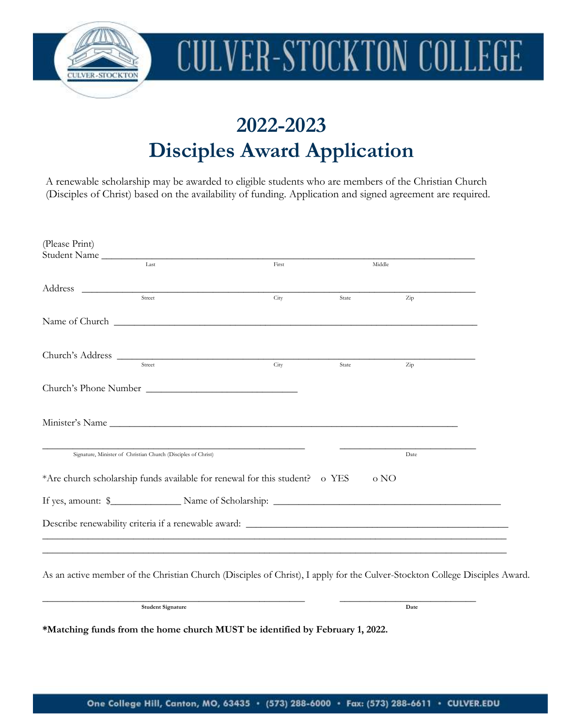

# **CULVER-STOCKTON COLLEGE**

## **2022-2023 Disciples Award Application**

A renewable scholarship may be awarded to eligible students who are members of the Christian Church (Disciples of Christ) based on the availability of funding. Application and signed agreement are required.

| (Please Print)<br>Student Name                                                                                              |       |       |        |  |
|-----------------------------------------------------------------------------------------------------------------------------|-------|-------|--------|--|
| Last                                                                                                                        | First |       | Middle |  |
| Address                                                                                                                     |       |       |        |  |
| Street                                                                                                                      | City  | State | Zip    |  |
|                                                                                                                             |       |       |        |  |
| Church's Address                                                                                                            |       |       |        |  |
| Street                                                                                                                      | City  | State | Zip    |  |
| Church's Phone Number                                                                                                       |       |       |        |  |
|                                                                                                                             |       |       |        |  |
| Signature, Minister of Christian Church (Disciples of Christ)                                                               |       |       | Date   |  |
| *Are church scholarship funds available for renewal for this student? o YES                                                 |       |       | o NO   |  |
|                                                                                                                             |       |       |        |  |
|                                                                                                                             |       |       |        |  |
|                                                                                                                             |       |       |        |  |
| As an active member of the Christian Church (Disciples of Christ), I apply for the Culver-Stockton College Disciples Award. |       |       |        |  |
|                                                                                                                             |       |       |        |  |